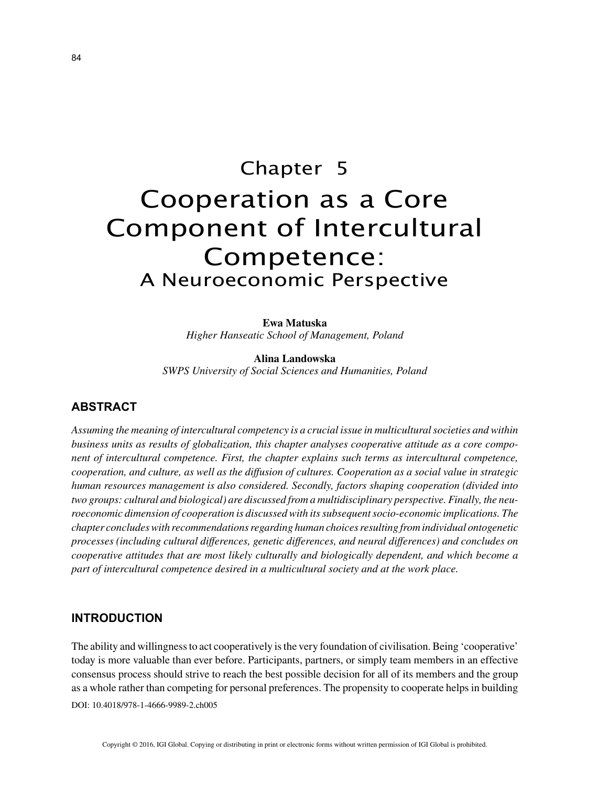# Chapter 5 Cooperation as a Core Component of Intercultural Competence: A Neuroeconomic Perspective

**Ewa Matuska** *Higher Hanseatic School of Management, Poland*

**Alina Landowska** *SWPS University of Social Sciences and Humanities, Poland*

### **ABSTRACT**

*Assuming the meaning of intercultural competency is a crucial issue in multicultural societies and within business units as results of globalization, this chapter analyses cooperative attitude as a core component of intercultural competence. First, the chapter explains such terms as intercultural competence, cooperation, and culture, as well as the diffusion of cultures. Cooperation as a social value in strategic human resources management is also considered. Secondly, factors shaping cooperation (divided into two groups: cultural and biological) are discussed from a multidisciplinary perspective. Finally, the neuroeconomic dimension of cooperation is discussed with its subsequent socio-economic implications. The chapter concludes with recommendations regarding human choices resulting from individual ontogenetic processes (including cultural differences, genetic differences, and neural differences) and concludes on cooperative attitudes that are most likely culturally and biologically dependent, and which become a part of intercultural competence desired in a multicultural society and at the work place.*

#### **INTRODUCTION**

The ability and willingness to act cooperatively is the very foundation of civilisation. Being 'cooperative' today is more valuable than ever before. Participants, partners, or simply team members in an effective consensus process should strive to reach the best possible decision for all of its members and the group as a whole rather than competing for personal preferences. The propensity to cooperate helps in building

DOI: 10.4018/978-1-4666-9989-2.ch005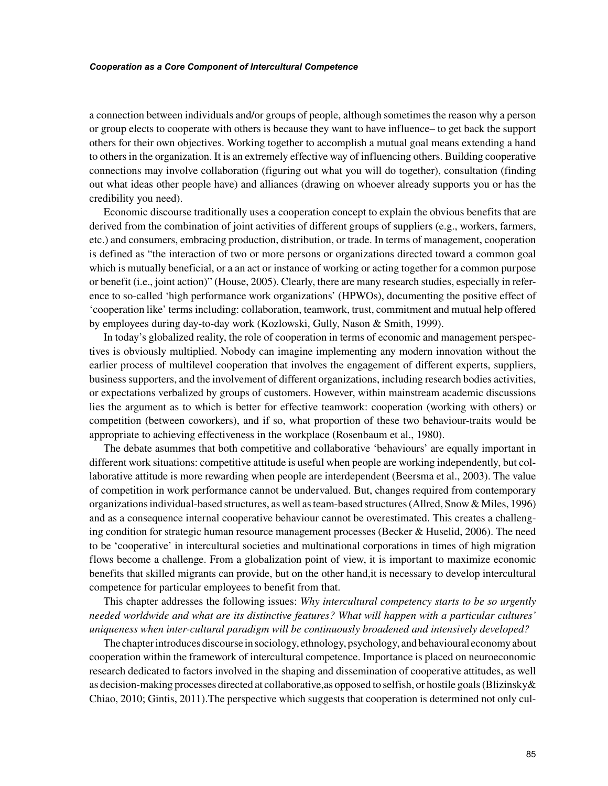#### *Cooperation as a Core Component of Intercultural Competence*

a connection between individuals and/or groups of people, although sometimes the reason why a person or group elects to cooperate with others is because they want to have influence– to get back the support others for their own objectives. Working together to accomplish a mutual goal means extending a hand to others in the organization. It is an extremely effective way of influencing others. Building cooperative connections may involve collaboration (figuring out what you will do together), consultation (finding out what ideas other people have) and alliances (drawing on whoever already supports you or has the credibility you need).

Economic discourse traditionally uses a cooperation concept to explain the obvious benefits that are derived from the combination of joint activities of different groups of suppliers (e.g., workers, farmers, etc.) and consumers, embracing production, distribution, or trade. In terms of management, cooperation is defined as "the interaction of two or more persons or organizations directed toward a common goal which is mutually beneficial, or a an act or instance of working or acting together for a common purpose or benefit (i.e., joint action)" (House, 2005). Clearly, there are many research studies, especially in reference to so-called 'high performance work organizations' (HPWOs), documenting the positive effect of 'cooperation like' terms including: collaboration, teamwork, trust, commitment and mutual help offered by employees during day-to-day work (Kozlowski, Gully, Nason & Smith, 1999).

In today's globalized reality, the role of cooperation in terms of economic and management perspectives is obviously multiplied. Nobody can imagine implementing any modern innovation without the earlier process of multilevel cooperation that involves the engagement of different experts, suppliers, business supporters, and the involvement of different organizations, including research bodies activities, or expectations verbalized by groups of customers. However, within mainstream academic discussions lies the argument as to which is better for effective teamwork: cooperation (working with others) or competition (between coworkers), and if so, what proportion of these two behaviour-traits would be appropriate to achieving effectiveness in the workplace (Rosenbaum et al., 1980).

The debate asummes that both competitive and collaborative 'behaviours' are equally important in different work situations: competitive attitude is useful when people are working independently, but collaborative attitude is more rewarding when people are interdependent (Beersma et al., 2003). The value of competition in work performance cannot be undervalued. But, changes required from contemporary organizations individual-based structures, as well as team-based structures (Allred, Snow & Miles, 1996) and as a consequence internal cooperative behaviour cannot be overestimated. This creates a challenging condition for strategic human resource management processes (Becker & Huselid, 2006). The need to be 'cooperative' in intercultural societies and multinational corporations in times of high migration flows become a challenge. From a globalization point of view, it is important to maximize economic benefits that skilled migrants can provide, but on the other hand,it is necessary to develop intercultural competence for particular employees to benefit from that.

This chapter addresses the following issues: *Why intercultural competency starts to be so urgently needed worldwide and what are its distinctive features? What will happen with a particular cultures' uniqueness when inter-cultural paradigm will be continuously broadened and intensively developed?*

The chapter introduces discourse in sociology, ethnology, psychology, and behavioural economy about cooperation within the framework of intercultural competence. Importance is placed on neuroeconomic research dedicated to factors involved in the shaping and dissemination of cooperative attitudes, as well as decision-making processes directed at collaborative,as opposed to selfish, or hostile goals (Blizinsky& Chiao, 2010; Gintis, 2011).The perspective which suggests that cooperation is determined not only cul